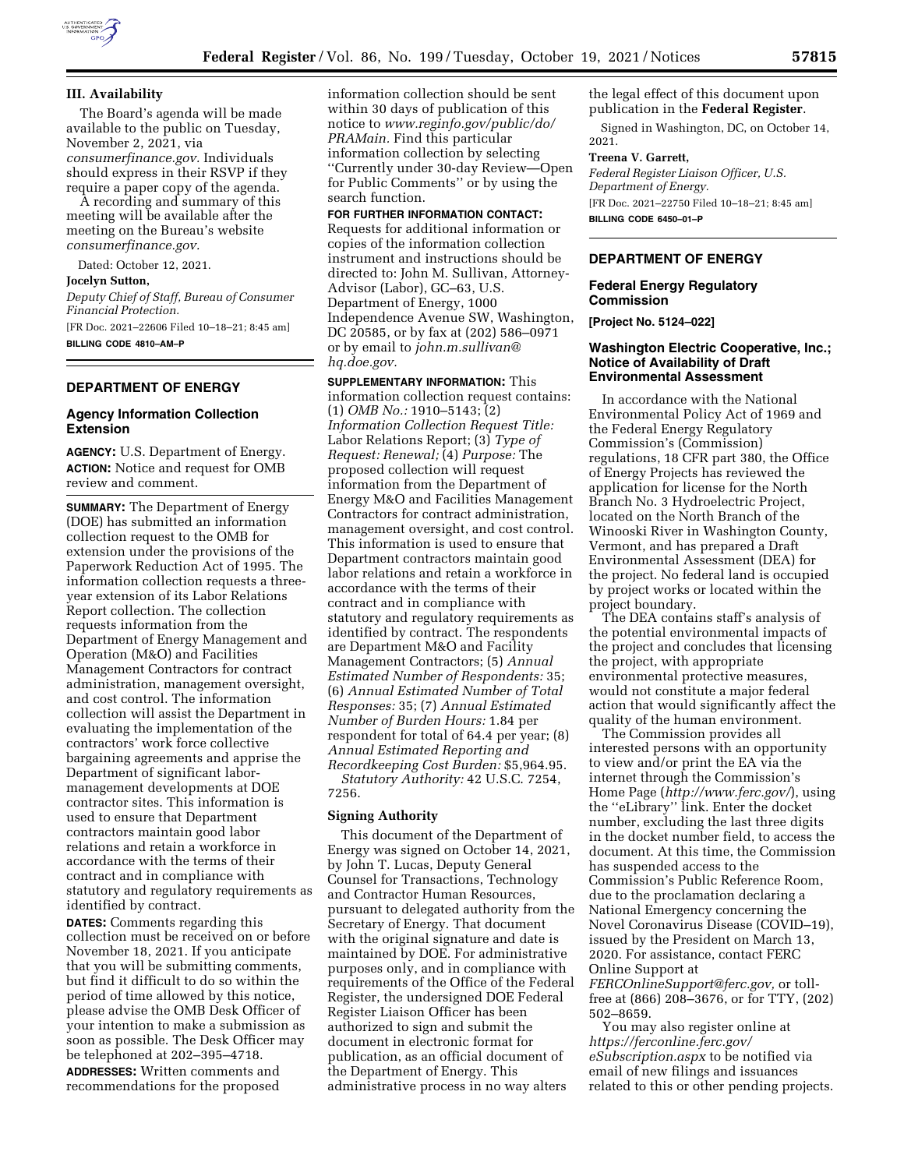

The Board's agenda will be made available to the public on Tuesday, November 2, 2021, via *consumerfinance.gov.* Individuals should express in their RSVP if they require a paper copy of the agenda.

A recording and summary of this meeting will be available after the meeting on the Bureau's website *consumerfinance.gov.* 

Dated: October 12, 2021.

### **Jocelyn Sutton,**

*Deputy Chief of Staff, Bureau of Consumer Financial Protection.*  [FR Doc. 2021–22606 Filed 10–18–21; 8:45 am] **BILLING CODE 4810–AM–P** 

### **DEPARTMENT OF ENERGY**

### **Agency Information Collection Extension**

**AGENCY:** U.S. Department of Energy. **ACTION:** Notice and request for OMB review and comment.

**SUMMARY:** The Department of Energy (DOE) has submitted an information collection request to the OMB for extension under the provisions of the Paperwork Reduction Act of 1995. The information collection requests a threeyear extension of its Labor Relations Report collection. The collection requests information from the Department of Energy Management and Operation (M&O) and Facilities Management Contractors for contract administration, management oversight, and cost control. The information collection will assist the Department in evaluating the implementation of the contractors' work force collective bargaining agreements and apprise the Department of significant labormanagement developments at DOE contractor sites. This information is used to ensure that Department contractors maintain good labor relations and retain a workforce in accordance with the terms of their contract and in compliance with statutory and regulatory requirements as identified by contract.

**DATES:** Comments regarding this collection must be received on or before November 18, 2021. If you anticipate that you will be submitting comments, but find it difficult to do so within the period of time allowed by this notice, please advise the OMB Desk Officer of your intention to make a submission as soon as possible. The Desk Officer may be telephoned at 202–395–4718. **ADDRESSES:** Written comments and recommendations for the proposed

information collection should be sent within 30 days of publication of this notice to *[www.reginfo.gov/public/do/](http://www.reginfo.gov/public/do/PRAMain) [PRAMain.](http://www.reginfo.gov/public/do/PRAMain)* Find this particular information collection by selecting ''Currently under 30-day Review—Open for Public Comments'' or by using the search function.

**FOR FURTHER INFORMATION CONTACT:**  Requests for additional information or copies of the information collection instrument and instructions should be directed to: John M. Sullivan, Attorney-Advisor (Labor), GC–63, U.S. Department of Energy, 1000 Independence Avenue SW, Washington, DC 20585, or by fax at (202) 586–0971 or by email to *[john.m.sullivan@](mailto:john.m.sullivan@hq.doe.gov) [hq.doe.gov.](mailto:john.m.sullivan@hq.doe.gov)* 

**SUPPLEMENTARY INFORMATION:** This information collection request contains: (1) *OMB No.:* 1910–5143; (2) *Information Collection Request Title:*  Labor Relations Report; (3) *Type of Request: Renewal;* (4) *Purpose:* The proposed collection will request information from the Department of Energy M&O and Facilities Management Contractors for contract administration, management oversight, and cost control. This information is used to ensure that Department contractors maintain good labor relations and retain a workforce in accordance with the terms of their contract and in compliance with statutory and regulatory requirements as identified by contract. The respondents are Department M&O and Facility Management Contractors; (5) *Annual Estimated Number of Respondents:* 35; (6) *Annual Estimated Number of Total Responses:* 35; (7) *Annual Estimated Number of Burden Hours:* 1.84 per respondent for total of 64.4 per year; (8) *Annual Estimated Reporting and Recordkeeping Cost Burden:* \$5,964.95. *Statutory Authority:* 42 U.S.C. 7254, 7256.

#### **Signing Authority**

This document of the Department of Energy was signed on October 14, 2021, by John T. Lucas, Deputy General Counsel for Transactions, Technology and Contractor Human Resources, pursuant to delegated authority from the Secretary of Energy. That document with the original signature and date is maintained by DOE. For administrative purposes only, and in compliance with requirements of the Office of the Federal Register, the undersigned DOE Federal Register Liaison Officer has been authorized to sign and submit the document in electronic format for publication, as an official document of the Department of Energy. This administrative process in no way alters

the legal effect of this document upon publication in the **Federal Register**.

Signed in Washington, DC, on October 14, 2021.

#### **Treena V. Garrett,**

*Federal Register Liaison Officer, U.S. Department of Energy.*  [FR Doc. 2021–22750 Filed 10–18–21; 8:45 am] **BILLING CODE 6450–01–P** 

# **DEPARTMENT OF ENERGY**

### **Federal Energy Regulatory Commission**

**[Project No. 5124–022]** 

# **Washington Electric Cooperative, Inc.; Notice of Availability of Draft Environmental Assessment**

In accordance with the National Environmental Policy Act of 1969 and the Federal Energy Regulatory Commission's (Commission) regulations, 18 CFR part 380, the Office of Energy Projects has reviewed the application for license for the North Branch No. 3 Hydroelectric Project, located on the North Branch of the Winooski River in Washington County, Vermont, and has prepared a Draft Environmental Assessment (DEA) for the project. No federal land is occupied by project works or located within the project boundary.

The DEA contains staff's analysis of the potential environmental impacts of the project and concludes that licensing the project, with appropriate environmental protective measures, would not constitute a major federal action that would significantly affect the quality of the human environment.

The Commission provides all interested persons with an opportunity to view and/or print the EA via the internet through the Commission's Home Page (*<http://www.ferc.gov/>*), using the ''eLibrary'' link. Enter the docket number, excluding the last three digits in the docket number field, to access the document. At this time, the Commission has suspended access to the Commission's Public Reference Room, due to the proclamation declaring a National Emergency concerning the Novel Coronavirus Disease (COVID–19), issued by the President on March 13, 2020. For assistance, contact FERC Online Support at

*[FERCOnlineSupport@ferc.gov,](mailto:FERCOnlineSupport@ferc.gov)* or tollfree at (866) 208–3676, or for TTY, (202) 502–8659.

You may also register online at *[https://ferconline.ferc.gov/](https://ferconline.ferc.gov/eSubscription.aspx) [eSubscription.aspx](https://ferconline.ferc.gov/eSubscription.aspx)* to be notified via email of new filings and issuances related to this or other pending projects.